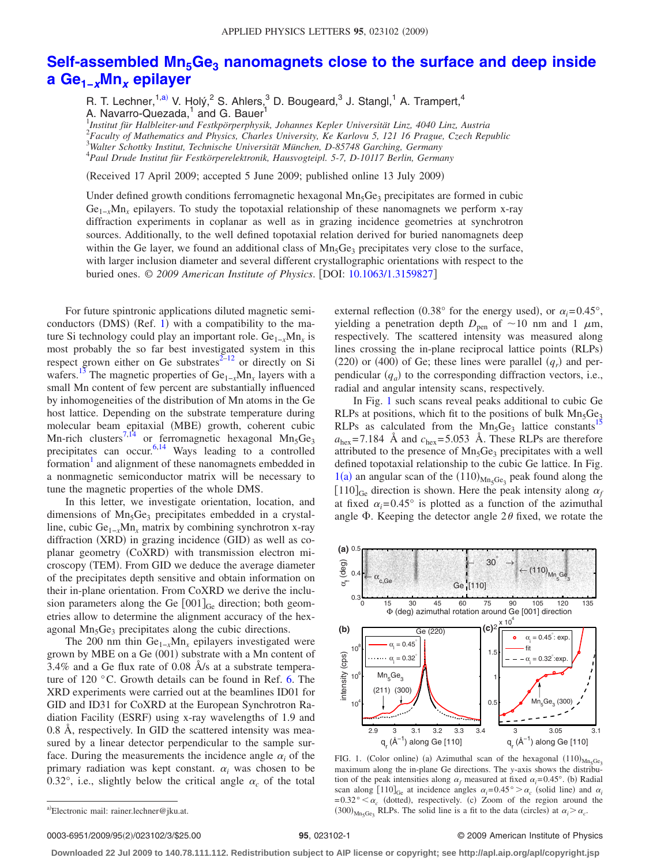## **Self-assembled Mn<sub>5</sub>Ge<sub>3</sub> [nanomagnets close to the surface and deep inside](http://dx.doi.org/10.1063/1.3159827) a Ge1−***x***Mn***<sup>x</sup>* **[epilayer](http://dx.doi.org/10.1063/1.3159827)**

R. T. Lechner,<sup>1[,a](#page-0-0))</sup> V. Holý,<sup>2</sup> S. Ahlers,<sup>3</sup> D. Bougeard,<sup>3</sup> J. Stangl,<sup>1</sup> A. Trampert,<sup>4</sup> A. Navarro-Quezada,<sup>1</sup> and G. Bauer

 *Institut für Halbleiter-und Festkpörperphysik, Johannes Kepler Universität Linz, 4040 Linz, Austria Faculty of Mathematics and Physics, Charles University, Ke Karlovu 5, 121 16 Prague, Czech Republic Walter Schottky Institut, Technische Universität München, D-85748 Garching, Germany Paul Drude Institut für Festkörperelektronik, Hausvogteipl. 5-7, D-10117 Berlin, Germany*

Received 17 April 2009; accepted 5 June 2009; published online 13 July 2009-

Under defined growth conditions ferromagnetic hexagonal  $Mn_5Ge_3$  precipitates are formed in cubic Ge<sub>1−*x*</sub>Mn<sub>*x*</sub> epilayers. To study the topotaxial relationship of these nanomagnets we perform x-ray diffraction experiments in coplanar as well as in grazing incidence geometries at synchrotron sources. Additionally, to the well defined topotaxial relation derived for buried nanomagnets deep within the Ge layer, we found an additional class of  $Mn_5Ge_3$  precipitates very close to the surface, with larger inclusion diameter and several different crystallographic orientations with respect to the buried ones. © 2009 American Institute of Physics. [DOI: [10.1063/1.3159827](http://dx.doi.org/10.1063/1.3159827)]

For future spintronic applications diluted magnetic semiconductors  $(DMS)$  (Ref. [1](#page-2-0)) with a compatibility to the mature Si technology could play an important role. Ge<sub>1−*x*</sub>Mn<sub>*x*</sub> is most probably the so far best investigated system in this respect grown either on Ge substrates $2^{-12}$  or directly on Si wafers.<sup>13</sup> The magnetic properties of  $Ge_{1-x}Mn_x$  layers with a small Mn content of few percent are substantially influenced by inhomogeneities of the distribution of Mn atoms in the Ge host lattice. Depending on the substrate temperature during molecular beam epitaxial (MBE) growth, coherent cubic Mn-rich clusters<sup>7,[14](#page-2-5)</sup> or ferromagnetic hexagonal Mn<sub>5</sub>Ge<sub>3</sub> precipitates can occur.<sup>6[,14](#page-2-5)</sup> Ways leading to a controlled formation<sup>1</sup> and alignment of these nanomagnets embedded in a nonmagnetic semiconductor matrix will be necessary to tune the magnetic properties of the whole DMS.

In this letter, we investigate orientation, location, and dimensions of  $Mn_5Ge_3$  precipitates embedded in a crystalline, cubic Ge1−*x*Mn*<sup>x</sup>* matrix by combining synchrotron x-ray diffraction (XRD) in grazing incidence (GID) as well as coplanar geometry (CoXRD) with transmission electron microscopy (TEM). From GID we deduce the average diameter of the precipitates depth sensitive and obtain information on their in-plane orientation. From CoXRD we derive the inclusion parameters along the Ge  $[001]_{Ge}$  direction; both geometries allow to determine the alignment accuracy of the hexagonal Mn<sub>5</sub>Ge<sub>3</sub> precipitates along the cubic directions.

The 200 nm thin Ge<sub>1−*x*</sub>Mn<sub>*x*</sub> epilayers investigated were grown by MBE on a Ge (001) substrate with a Mn content of 3.4% and a Ge flux rate of 0.08 Å/s at a substrate temperature of 120 °C. Growth details can be found in Ref. [6.](#page-2-6) The XRD experiments were carried out at the beamlines ID01 for GID and ID31 for CoXRD at the European Synchrotron Radiation Facility (ESRF) using x-ray wavelengths of 1.9 and 0.8 Å, respectively. In GID the scattered intensity was measured by a linear detector perpendicular to the sample surface. During the measurements the incidence angle  $\alpha_i$  of the primary radiation was kept constant.  $\alpha_i$  was chosen to be 0.32°, i.e., slightly below the critical angle  $\alpha_c$  of the total

external reflection (0.38° for the energy used), or  $\alpha_i = 0.45^\circ$ , yielding a penetration depth  $D_{pen}$  of  $\sim$ 10 nm and 1  $\mu$ m, respectively. The scattered intensity was measured along lines crossing the in-plane reciprocal lattice points (RLPs)  $(220)$  or  $(400)$  of Ge; these lines were parallel  $(q<sub>r</sub>)$  and perpendicular  $(q_a)$  to the corresponding diffraction vectors, i.e., radial and angular intensity scans, respectively.

In Fig. [1](#page-0-1) such scans reveal peaks additional to cubic Ge RLPs at positions, which fit to the positions of bulk  $Mn_5Ge_3$ RLPs as calculated from the  $Mn_5Ge_3$  lattice constants<sup>1</sup>  $a_{\text{hex}}$ =7.184 Å and  $c_{\text{hex}}$ =5.053 Å. These RLPs are therefore attributed to the presence of  $Mn_5Ge_3$  precipitates with a well defined topotaxial relationship to the cubic Ge lattice. In Fig.  $1(a)$  $1(a)$  an angular scan of the  $(110)_{\text{Mn}_5\text{Ge}_3}$  peak found along the  $[110]$ <sub>Ge</sub> direction is shown. Here the peak intensity along  $\alpha_f$ at fixed  $\alpha_i=0.45^\circ$  is plotted as a function of the azimuthal angle  $\Phi$ . Keeping the detector angle  $2\theta$  fixed, we rotate the

<span id="page-0-1"></span>

FIG. 1. (Color online) (a) Azimuthal scan of the hexagonal  $(110)_{\text{Mn}_5\text{Ge}_3}$ maximum along the in-plane Ge directions. The *y*-axis shows the distribution of the peak intensities along  $\alpha_f$  measured at fixed  $\alpha_i = 0.45^\circ$ . (b) Radial scan along  $[110]_{\text{Ge}}$  at incidence angles  $\alpha_i = 0.45^\circ > \alpha_c$  (solid line) and  $\alpha_i$  $=0.32^{\circ} < \alpha_c$  (dotted), respectively. (c) Zoom of the region around the  $(300)_{\text{Mn}_5\text{Ge}_3}$  RLPs. The solid line is a fit to the data (circles) at  $\alpha_i > \alpha_c$ .

0003-6951/2009/95(2)/023102/3/\$25.00

## **25.** 023102-1 © 2009 American Institute of Physics

**Downloaded 22 Jul 2009 to 140.78.111.112. Redistribution subject to AIP license or copyright; see http://apl.aip.org/apl/copyright.jsp**

<span id="page-0-0"></span>a)Electronic mail: rainer.lechner@jku.at.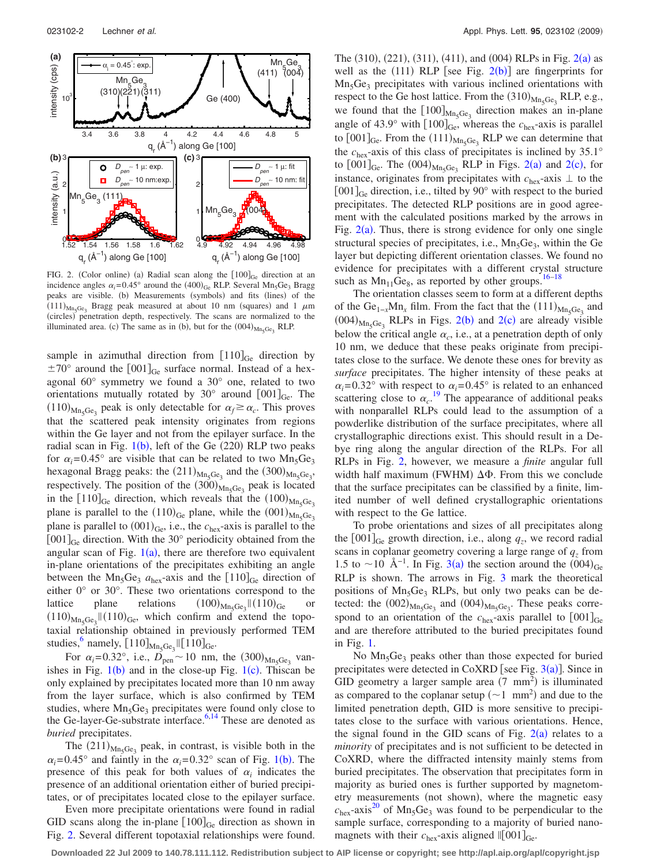<span id="page-1-0"></span>

FIG. 2. (Color online) (a) Radial scan along the  $[100]_{Ge}$  direction at an incidence angles  $\alpha_i = 0.45^\circ$  around the  $(400)_{Ge}$  RLP. Several Mn<sub>5</sub>Ge<sub>3</sub> Bragg peaks are visible. (b) Measurements (symbols) and fits (lines) of the  $(111)_{\text{Mn}_5\text{Ge}_3}$  Bragg peak measured at about 10 nm (squares) and 1  $\mu$ m (circles) penetration depth, respectively. The scans are normalized to the illuminated area. (c) The same as in (b), but for the  $(004)_{Mn_5Ge_3}$  RLP.

sample in azimuthal direction from  $[110]_{Ge}$  direction by  $\pm 70^{\circ}$  around the [001]<sub>Ge</sub> surface normal. Instead of a hexagonal 60° symmetry we found a 30° one, related to two orientations mutually rotated by 30 $^{\circ}$  around  $[001]_{Ge}$ . The  $(110)_{\text{Mn}_5\text{Ge}_3}$  peak is only detectable for  $\alpha_f \ge \alpha_c$ . This proves that the scattered peak intensity originates from regions within the Ge layer and not from the epilayer surface. In the radial scan in Fig.  $1(b)$  $1(b)$ , left of the Ge  $(220)$  RLP two peaks for  $\alpha_i$ =0.45° are visible that can be related to two Mn<sub>5</sub>Ge<sub>3</sub> hexagonal Bragg peaks: the  $(211)_{\text{Mn}_5\text{Ge}_3}$  and the  $(300)_{\text{Mn}_5\text{Ge}_3}$ respectively. The position of the  $(300)_{\text{Mn}_5\text{Ge}_3}$  peak is located in the  $[110]_{Ge}$  direction, which reveals that the  $(100)_{Mn_5Ge_3}$ plane is parallel to the  $(110)_{Ge}$  plane, while the  $(001)_{Mn_5Ge_3}$ plane is parallel to  $(001)_{\text{Ge}}$ , i.e., the  $c_{\text{hex}}$ -axis is parallel to the  $[001]_{Ge}$  direction. With the 30° periodicity obtained from the angular scan of Fig.  $1(a)$  $1(a)$ , there are therefore two equivalent in-plane orientations of the precipitates exhibiting an angle between the Mn<sub>5</sub>Ge<sub>3</sub>  $a_{\text{hex}}$ -axis and the  $[110]_{\text{Ge}}$  direction of either 0° or 30°. These two orientations correspond to the lattice plane relations  $\text{Mn}_5\text{Ge}_3 \parallel (110)_{\text{Ge}}$  or  $(110)_{\text{Mn}_5\text{Ge}_3}$  ||  $(110)_{\text{Ge}}$ , which confirm and extend the topotaxial relationship obtained in previously performed TEM studies,  $\binom{6}{110}$ <sub>Mn<sub>5</sub>Ge<sub>3</sub></sub>  $\left[\binom{110}{\text{Ge}}\right]$ <sub>Ge</sub>.

For  $\alpha_i = 0.32^{\circ}$ , i.e.,  $D_{\text{pen}} \sim 10$  nm, the  $(300)_{\text{Mn}_5\text{Ge}_3}$  vanishes in Fig.  $1(b)$  $1(b)$  and in the close-up Fig.  $1(c)$ . Thiscan be only explained by precipitates located more than 10 nm away from the layer surface, which is also confirmed by TEM studies, where  $Mn_5Ge_3$  precipitates were found only close to the Ge-layer-Ge-substrate interface. $6,14$  $6,14$  These are denoted as *buried* precipitates.

The  $(211)_{\text{Mn}_5\text{Ge}_3}$  peak, in contrast, is visible both in the  $\alpha_i = 0.45^\circ$  and faintly in the  $\alpha_i = 0.32^\circ$  scan of Fig. 1([b](#page-0-1)). The presence of this peak for both values of  $\alpha_i$  indicates the presence of an additional orientation either of buried precipitates, or of precipitates located close to the epilayer surface.

Even more precipitate orientations were found in radial GID scans along the in-plane  $[100]_{Ge}$  direction as shown in Fig. [2.](#page-1-0) Several different topotaxial relationships were found.

The  $(310)$ ,  $(221)$  $(221)$  $(221)$ ,  $(311)$ ,  $(411)$ , and  $(004)$  RLPs in Fig.  $2(a)$  as well as the  $(111)$  RLP [see Fig. [2](#page-1-0)(b)] are fingerprints for Mn5Ge3 precipitates with various inclined orientations with respect to the Ge host lattice. From the  $(310)_{Mn_5Ge_3}$  RLP, e.g., we found that the  $[100]_{\text{Mn}_5\text{Ge}_3}$  direction makes an in-plane angle of 43.9° with  $[100]_{Ge}$ , whereas the  $c_{hex}$ -axis is parallel to  $[001]_{\text{Ge}}$ . From the  $(111)_{\text{Mn}_5\text{Ge}_3}$  RLP we can determine that the  $c_{\text{hex}}$ -axis of this class of precipitates is [incli](#page-1-0)ned [by 3](#page-1-0)5.1° to  $[001]_{\text{Ge}}$ . The  $(004)_{\text{Mn}_5\text{Ge}_3}$  RLP in Figs. 2(a) and 2(c), for instance, originates from precipitates with  $c_{\text{hex}}$ -axis  $\perp$  to the  $[001]_{\text{Ge}}$  direction, i.e., tilted by 90° with respect to the buried precipitates. The detected RLP positions are in good agreement with the calculated positions marked by the arrows in Fig.  $2(a)$  $2(a)$ . Thus, there is strong evidence for only one single structural species of precipitates, i.e.,  $Mn_5Ge_3$ , within the Ge layer but depicting different orientation classes. We found no evidence for precipitates with a different crystal structure such as  $Mn_{11}Ge_8$ , as reported by other groups.<sup>16[–18](#page-2-9)</sup>

The orientation classes seem to form at a different depths of the  $Ge_{1-x}Mn_x$  film. From the fact that the  $(111)_{Mn_5Ge_3}$  and  $(004)_{\text{Mn}_5\text{Ge}_3}$  RLPs in Figs. [2](#page-1-0)(b) and 2(c) are already visible below the critical angle  $\alpha_c$ , i.e., at a penetration depth of only 10 nm, we deduce that these peaks originate from precipitates close to the surface. We denote these ones for brevity as *surface* precipitates. The higher intensity of these peaks at  $\alpha_i$ =0.32° with respect to  $\alpha_i$ =0.45° is related to an enhanced scattering close to  $\alpha_c$ .<sup>[19](#page-2-10)</sup> The appearance of additional peaks with nonparallel RLPs could lead to the assumption of a powderlike distribution of the surface precipitates, where all crystallographic directions exist. This should result in a Debye ring along the angular direction of the RLPs. For all RLPs in Fig. [2,](#page-1-0) however, we measure a *finite* angular full width half maximum (FWHM)  $\Delta\Phi$ . From this we conclude that the surface precipitates can be classified by a finite, limited number of well defined crystallographic orientations with respect to the Ge lattice.

To probe orientations and sizes of all precipitates along the  $[001]_{Ge}$  growth direction, i.e., along  $q_z$ , we record radial scans in coplanar geometry covering a large range of  $q<sub>z</sub>$  from 1.5 to ~10 Å<sup>-1</sup>. In Fig. [3](#page-2-11)(a) the section around the  $(004)_{Ge}$ RLP is shown. The arrows in Fig. [3](#page-2-11) mark the theoretical positions of  $Mn_5Ge_3$  RLPs, but only two peaks can be detected: the  $(002)_{\text{Mn}_5\text{Ge}_3}$  and  $(004)_{\text{Mn}_5\text{Ge}_3}$ . These peaks correspond to an orientation of the  $c_{\text{hex}}$ -axis parallel to  $[001]_{\text{Ge}}$ and are therefore attributed to the buried precipitates found in Fig. [1.](#page-0-1)

No  $Mn_5Ge_3$  peaks other than those expected for buried precipitates were detected in CoXRD [see Fig.  $3(a)$  $3(a)$ ]. Since in GID geometry a larger sample area  $(7 \text{ mm}^2)$  is illuminated as compared to the coplanar setup  $(\sim 1 \text{ mm}^2)$  and due to the limited penetration depth, GID is more sensitive to precipitates close to the surface with various orientations. Hence, the signal found in the GID scans of Fig.  $2(a)$  $2(a)$  relates to a *minority* of precipitates and is not sufficient to be detected in CoXRD, where the diffracted intensity mainly stems from buried precipitates. The observation that precipitates form in majority as buried ones is further supported by magnetometry measurements (not shown), where the magnetic easy  $c_{\text{hex}}$ -axis<sup>20</sup> of Mn<sub>5</sub>Ge<sub>3</sub> was found to be perpendicular to the sample surface, corresponding to a majority of buried nanomagnets with their  $c_{\text{hex}}$ -axis aligned  $\parallel [001]_{\text{Ge}}$ .

**Downloaded 22 Jul 2009 to 140.78.111.112. Redistribution subject to AIP license or copyright; see http://apl.aip.org/apl/copyright.jsp**